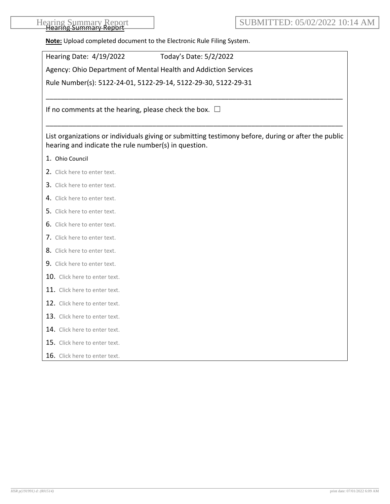| Hearing Summary Report<br><del>ncanny Jammar</del> |  |
|----------------------------------------------------|--|
|----------------------------------------------------|--|

**Note:** Upload completed document to the Electronic Rule Filing System.

| Hearing Date: 4/19/2022<br>Today's Date: 5/2/2022                                                                                                           |
|-------------------------------------------------------------------------------------------------------------------------------------------------------------|
| Agency: Ohio Department of Mental Health and Addiction Services                                                                                             |
| Rule Number(s): 5122-24-01, 5122-29-14, 5122-29-30, 5122-29-31                                                                                              |
| If no comments at the hearing, please check the box. $\Box$                                                                                                 |
|                                                                                                                                                             |
| List organizations or individuals giving or submitting testimony before, during or after the public<br>hearing and indicate the rule number(s) in question. |
| 1. Ohio Council                                                                                                                                             |
| 2. Click here to enter text.                                                                                                                                |
| 3. Click here to enter text.                                                                                                                                |
| 4. Click here to enter text.                                                                                                                                |
| 5. Click here to enter text.                                                                                                                                |
| 6. Click here to enter text.                                                                                                                                |
| 7. Click here to enter text.                                                                                                                                |
| 8. Click here to enter text.                                                                                                                                |
| 9. Click here to enter text.                                                                                                                                |
| 10. Click here to enter text.                                                                                                                               |
| 11. Click here to enter text.                                                                                                                               |
| 12. Click here to enter text.                                                                                                                               |
| 13. Click here to enter text.                                                                                                                               |
| 14. Click here to enter text.                                                                                                                               |
| 15. Click here to enter text.                                                                                                                               |
| 16. Click here to enter text.                                                                                                                               |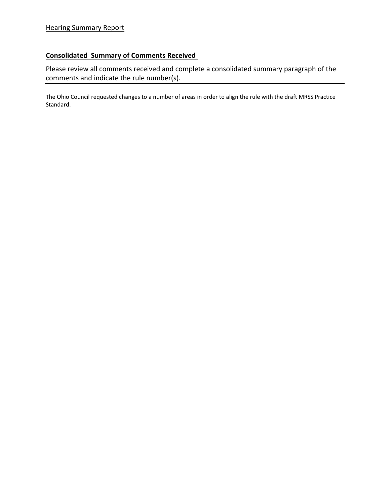## **Consolidated Summary of Comments Received**

Please review all comments received and complete a consolidated summary paragraph of the comments and indicate the rule number(s).

The Ohio Council requested changes to a number of areas in order to align the rule with the draft MRSS Practice Standard.